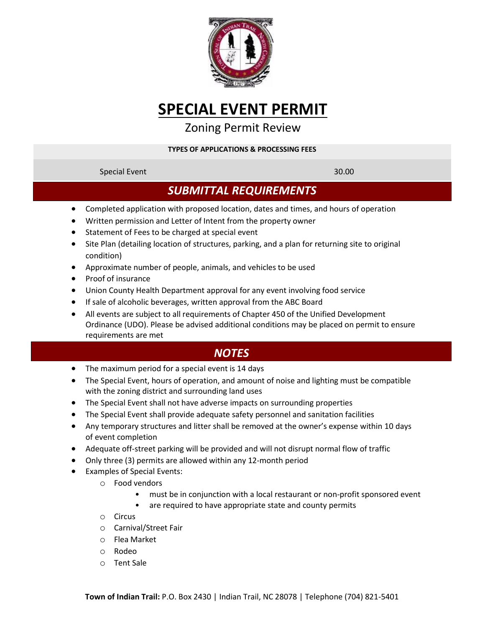

# **SPECIAL EVENT PERMIT**

### Zoning Permit Review

#### **TYPES OF APPLICATIONS & PROCESSING FEES**

### Special Event 30.00

## *SUBMITTAL REQUIREMENTS*

- Completed application with proposed location, dates and times, and hours of operation
- Written permission and Letter of Intent from the property owner
- Statement of Fees to be charged at special event
- Site Plan (detailing location of structures, parking, and a plan for returning site to original condition)
- Approximate number of people, animals, and vehicles to be used
- Proof of insurance
- Union County Health Department approval for any event involving food service
- If sale of alcoholic beverages, written approval from the ABC Board
- All events are subject to all requirements of Chapter 450 of the Unified Development Ordinance (UDO). Please be advised additional conditions may be placed on permit to ensure requirements are met

## *NOTES*

- The maximum period for a special event is 14 days
- The Special Event, hours of operation, and amount of noise and lighting must be compatible with the zoning district and surrounding land uses
- The Special Event shall not have adverse impacts on surrounding properties
- The Special Event shall provide adequate safety personnel and sanitation facilities
- Any temporary structures and litter shall be removed at the owner's expense within 10 days of event completion
- Adequate off-street parking will be provided and will not disrupt normal flow of traffic
- Only three (3) permits are allowed within any 12-month period
- Examples of Special Events:
	- o Food vendors
		- must be in conjunction with a local restaurant or non-profit sponsored event
		- are required to have appropriate state and county permits
	- o Circus
	- o Carnival/Street Fair
	- o Flea Market
	- o Rodeo
	- o Tent Sale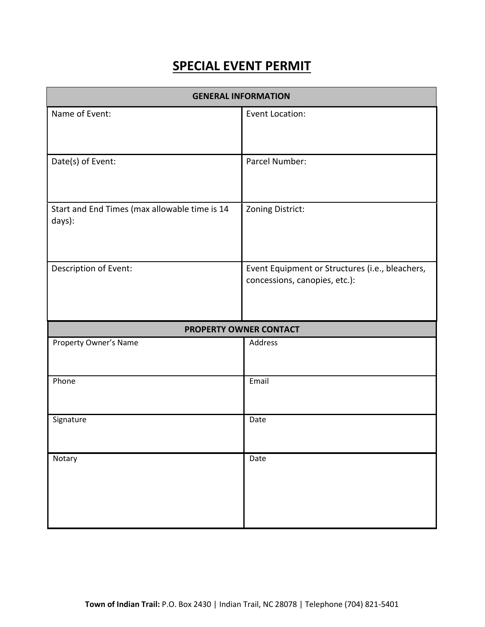## **SPECIAL EVENT PERMIT**

| <b>GENERAL INFORMATION</b>                              |                                                                                  |  |  |
|---------------------------------------------------------|----------------------------------------------------------------------------------|--|--|
| Name of Event:                                          | Event Location:                                                                  |  |  |
| Date(s) of Event:                                       | Parcel Number:                                                                   |  |  |
| Start and End Times (max allowable time is 14<br>days): | Zoning District:                                                                 |  |  |
| Description of Event:                                   | Event Equipment or Structures (i.e., bleachers,<br>concessions, canopies, etc.): |  |  |
| PROPERTY OWNER CONTACT                                  |                                                                                  |  |  |
| Property Owner's Name                                   | Address                                                                          |  |  |
| Phone                                                   | Email                                                                            |  |  |
| Signature                                               | Date                                                                             |  |  |
| Notary                                                  | Date                                                                             |  |  |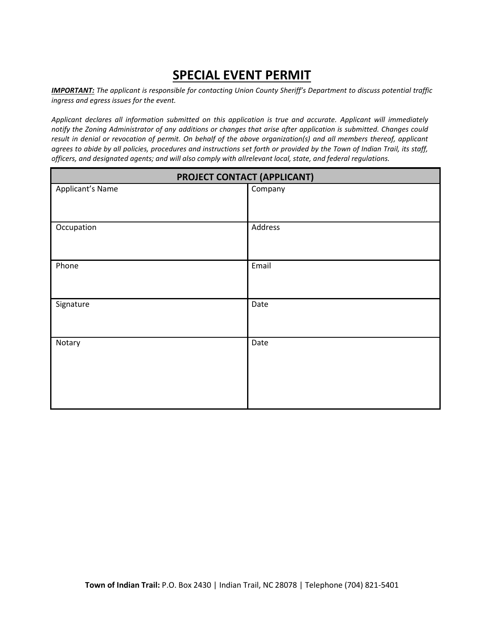## **SPECIAL EVENT PERMIT**

*IMPORTANT: The applicant is responsible for contacting Union County Sheriff's Department to discuss potential traffic ingress and egress issues for the event.*

*Applicant declares all information submitted on this application is true and accurate. Applicant will immediately notify the Zoning Administrator of any additions or changes that arise after application is submitted. Changes could result in denial or revocation of permit. On behalf of the above organization(s) and all members thereof, applicant agrees to abide by all policies, procedures and instructions set forth or provided by the Town of Indian Trail, its staff, officers, and designated agents; and will also comply with allrelevant local, state, and federal regulations.*

| PROJECT CONTACT (APPLICANT) |         |  |
|-----------------------------|---------|--|
| Applicant's Name            | Company |  |
|                             |         |  |
| Occupation                  | Address |  |
|                             |         |  |
| Phone                       | Email   |  |
|                             |         |  |
| Signature                   | Date    |  |
|                             |         |  |
| Notary                      | Date    |  |
|                             |         |  |
|                             |         |  |
|                             |         |  |